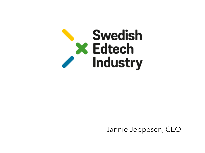

Jannie Jeppesen, CEO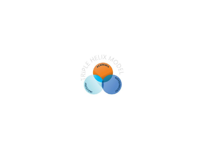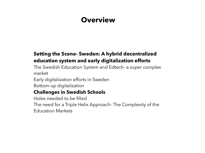# **Overview**

### **Setting the Scene- Sweden: A hybrid decentralized education system and early digitalization efforts**

The Swedish Education System and Edtech- a super complex market

Early digitalization efforts in Sweden

Bottom-up digitalization

### **Challenges in Swedish Schools**

Holes needed to be filled The need for a Triple Helix Approach- The Complexity of the Education Markets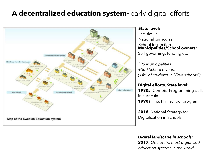## **A decentralized education system-** early digital efforts



**State level:** 

Legislative National curriculas School inspection **Municipalities/School owners:**  Self governing: funding etc

*290 Municipalities +300 School owners (14% of students in "Free schools")* 

#### **Digital efforts, State level:**

**1980s**: Compis- Programming skills in curricula **1990s**: ITiS, IT in school program

———————————-

**2018**: National Strategy for Digitalization in Schools

#### *Digital landscape in schools:*

*2017: One of the most digitalised education systems in the world*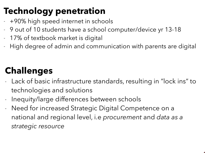# **Technology penetration**

- +90% high speed internet in schools
- 9 out of 10 students have a school computer/device yr 13-18
- 17% of textbook market is digital
- High degree of admin and communication with parents are digital

# **Challenges**

- Lack of basic infrastructure standards, resulting in "lock ins" to technologies and solutions
- Inequity/large differences between schools
- Need for increased Strategic Digital Competence on a national and regional level, i.e *procurement* and *data as a strategic resource*

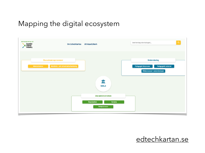# Mapping the digital ecosystem



### [edtechkartan.se](http://edtechkartan.se)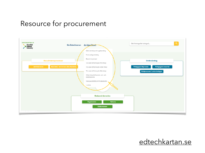## Resource for procurement



### [edtechkartan.se](http://edtechkartan.se)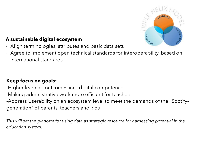

### **A sustainable digital ecosystem**

- Align terminologies, attributes and basic data sets
- Agree to implement open technical standards for interoperability, based on international standards

### **Keep focus on goals:**

-Higher learning outcomes incl. digital competence -Making administrative work more efficient for teachers -Address Userability on an ecosystem level to meet the demands of the "Spotifygeneration" of parents, teachers and kids

*This will set the platform for using data as strategic resource for harnessing potential in the education system.*